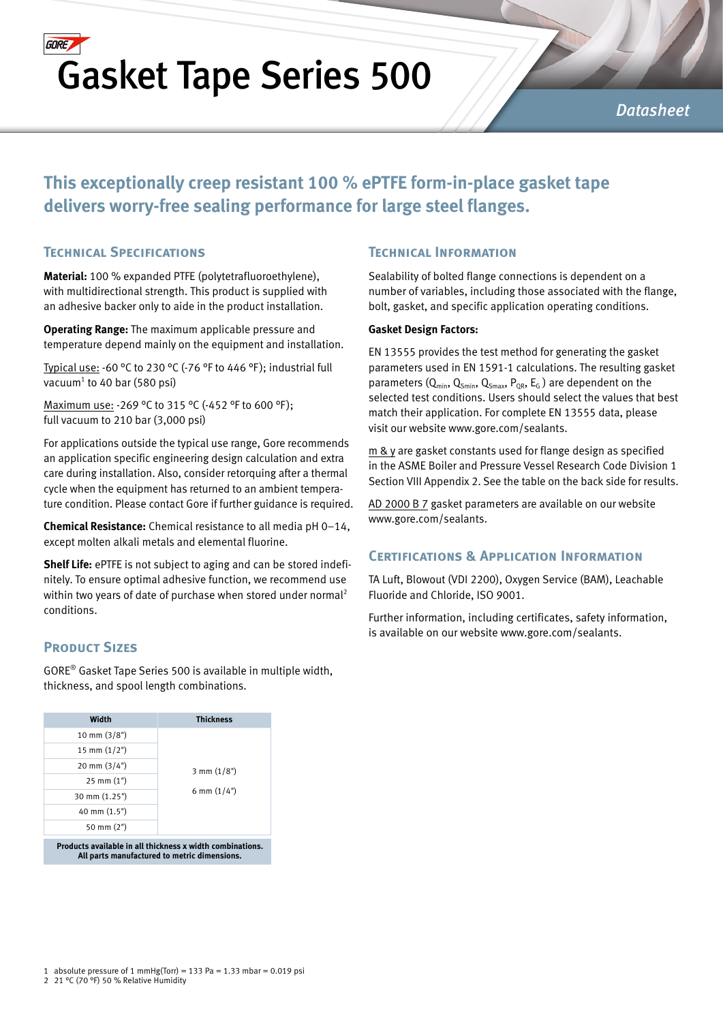## **GORE** Gasket Tape Series 500

#### *Datasheet*

### **This exceptionally creep resistant 100 % ePTFE form-in-place gasket tape delivers worry-free sealing performance for large steel flanges.**

#### **Technical Specifications**

**Material:** 100 % expanded PTFE (polytetrafluoroethylene), with multidirectional strength. This product is supplied with an adhesive backer only to aide in the product installation.

**Operating Range:** The maximum applicable pressure and temperature depend mainly on the equipment and installation.

Typical use: -60 °C to 230 °C (-76 °F to 446 °F ); industrial full vacuum<sup>1</sup> to 40 bar (580 psi)

Maximum use: -269 °C to 315 °C (-452 °F to 600 °F ); full vacuum to 210 bar (3,000 psi)

For applications outside the typical use range, Gore recommends an application specific engineering design calculation and extra care during installation. Also, consider retorquing after a thermal cycle when the equipment has returned to an ambient temperature condition. Please contact Gore if further guidance is required.

**Chemical Resistance:** Chemical resistance to all media pH 0–14, except molten alkali metals and elemental fluorine.

**Shelf Life:** ePTFE is not subject to aging and can be stored indefinitely. To ensure optimal adhesive function, we recommend use within two years of date of purchase when stored under normal<sup>2</sup> conditions.

#### **PRODUCT SIZES**

GORE® Gasket Tape Series 500 is available in multiple width, thickness, and spool length combinations.

| Width                                                           | <b>Thickness</b>      |  |  |  |  |
|-----------------------------------------------------------------|-----------------------|--|--|--|--|
| $10 \text{ mm } (3/8")$                                         |                       |  |  |  |  |
| 15 mm $(1/2")$                                                  |                       |  |  |  |  |
| $20 \text{ mm } (3/4")$                                         | $3 \text{ mm} (1/8")$ |  |  |  |  |
| $25 \text{ mm} (1")$                                            |                       |  |  |  |  |
| 30 mm (1.25")                                                   | 6 mm $(1/4")$         |  |  |  |  |
| 40 mm (1.5")                                                    |                       |  |  |  |  |
| 50 mm $(2")$                                                    |                       |  |  |  |  |
| <b>Products available in all thickness x width combinations</b> |                       |  |  |  |  |

**Products available in all thickness x width combinations. All parts manufactured to metric dimensions.**

#### **Technical Information**

Sealability of bolted flange connections is dependent on a number of variables, including those associated with the flange, bolt, gasket, and specific application operating conditions.

#### **Gasket Design Factors:**

EN 13555 provides the test method for generating the gasket parameters used in EN 1591-1 calculations. The resulting gasket parameters ( $Q_{min}$ ,  $Q_{Smin}$ ,  $Q_{Smax}$ ,  $P_{QR}$ ,  $E_G$ ) are dependent on the selected test conditions. Users should select the values that best match their application. For complete EN 13555 data, please visit our website www.gore.com/sealants.

m & y are gasket constants used for flange design as specified in the ASME Boiler and Pressure Vessel Research Code Division 1 Section VIII Appendix 2. See the table on the back side for results.

AD 2000 B 7 gasket parameters are available on our website www.gore.com/sealants.

#### **Certifications & Application Information**

TA Luft, Blowout (VDI 2200), Oxygen Service (BAM), Leachable Fluoride and Chloride, ISO 9001.

Further information, including certificates, safety information, is available on our website www.gore.com/sealants.